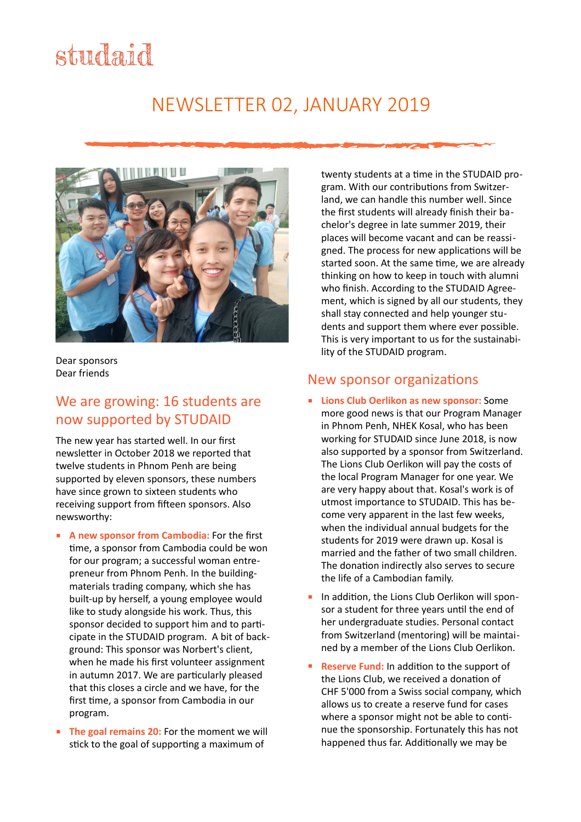# studaid

# NEWSLETTER 02, JANUARY 2019



Dear sponsors Dear friends 

#### We are growing: 16 students are now supported by STUDAID

The new year has started well. In our first newsletter in October 2018 we reported that twelve students in Phnom Penh are being supported by eleven sponsors, these numbers have since grown to sixteen students who receiving support from fifteen sponsors. Also newsworthy: 

- **A new sponsor from Cambodia:** For the first time, a sponsor from Cambodia could be won for our program; a successful woman entrepreneur from Phnom Penh. In the buildingmaterials trading company, which she has built-up by herself, a young employee would like to study alongside his work. Thus, this sponsor decided to support him and to participate in the STUDAID program. A bit of background: This sponsor was Norbert's client. when he made his first volunteer assignment in autumn 2017. We are particularly pleased that this closes a circle and we have, for the first time, a sponsor from Cambodia in our program.
- **The goal remains 20:** For the moment we will stick to the goal of supporting a maximum of

twenty students at a time in the STUDAID program. With our contributions from Switzerland, we can handle this number well. Since the first students will already finish their bachelor's degree in late summer 2019, their places will become vacant and can be reassigned. The process for new applications will be started soon. At the same time, we are already thinking on how to keep in touch with alumni who finish. According to the STUDAID Agreement, which is signed by all our students, they shall stay connected and help younger students and support them where ever possible. This is very important to us for the sustainability of the STUDAID program.

#### New sponsor organizations

- **Example 2 I Lions Club Oerlikon as new sponsor:** Some more good news is that our Program Manager in Phnom Penh, NHEK Kosal, who has been working for STUDAID since June 2018, is now also supported by a sponsor from Switzerland. The Lions Club Oerlikon will pay the costs of the local Program Manager for one year. We are very happy about that. Kosal's work is of utmost importance to STUDAID. This has become very apparent in the last few weeks, when the individual annual budgets for the students for 2019 were drawn up. Kosal is married and the father of two small children. The donation indirectly also serves to secure the life of a Cambodian family.
- In addition, the Lions Club Oerlikon will sponsor a student for three years until the end of her undergraduate studies. Personal contact from Switzerland (mentoring) will be maintained by a member of the Lions Club Oerlikon.
- **Reserve Fund:** In addition to the support of the Lions Club, we received a donation of CHF 5'000 from a Swiss social company, which allows us to create a reserve fund for cases where a sponsor might not be able to continue the sponsorship. Fortunately this has not happened thus far. Additionally we may be